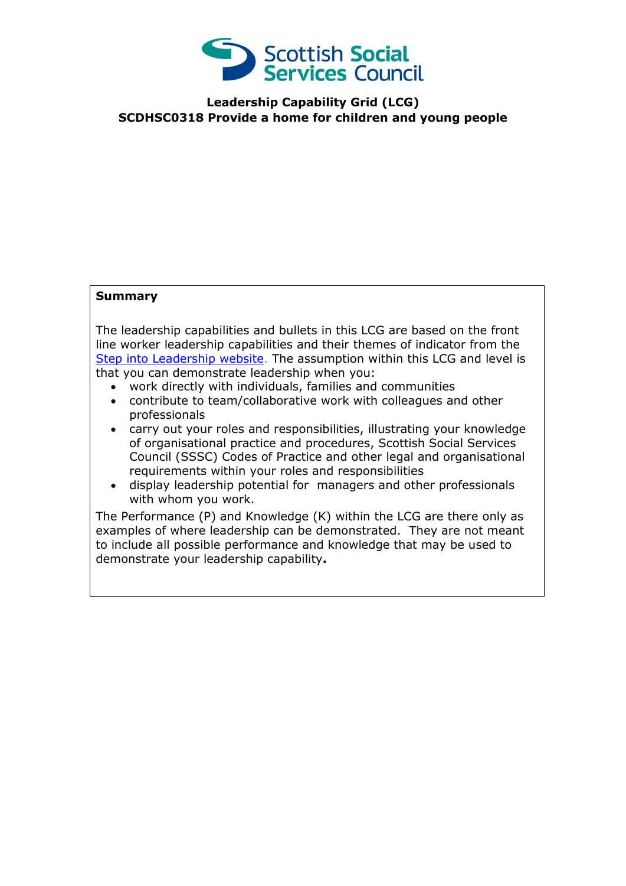

**Leadership Capability Grid (LCG) SCDHSC0318 Provide a home for children and young people**

## **Summary**

The leadership capabilities and bullets in this LCG are based on the front line worker leadership capabilities and their themes of indicator from the [Step into Leadership website.](http://www.stepintoleadership.info/) The assumption within this LCG and level is that you can demonstrate leadership when you:

- work directly with individuals, families and communities
- contribute to team/collaborative work with colleagues and other professionals
- carry out your roles and responsibilities, illustrating your knowledge of organisational practice and procedures, Scottish Social Services Council (SSSC) Codes of Practice and other legal and organisational requirements within your roles and responsibilities
- display leadership potential for managers and other professionals with whom you work.

The Performance (P) and Knowledge (K) within the LCG are there only as examples of where leadership can be demonstrated. They are not meant to include all possible performance and knowledge that may be used to demonstrate your leadership capability**.**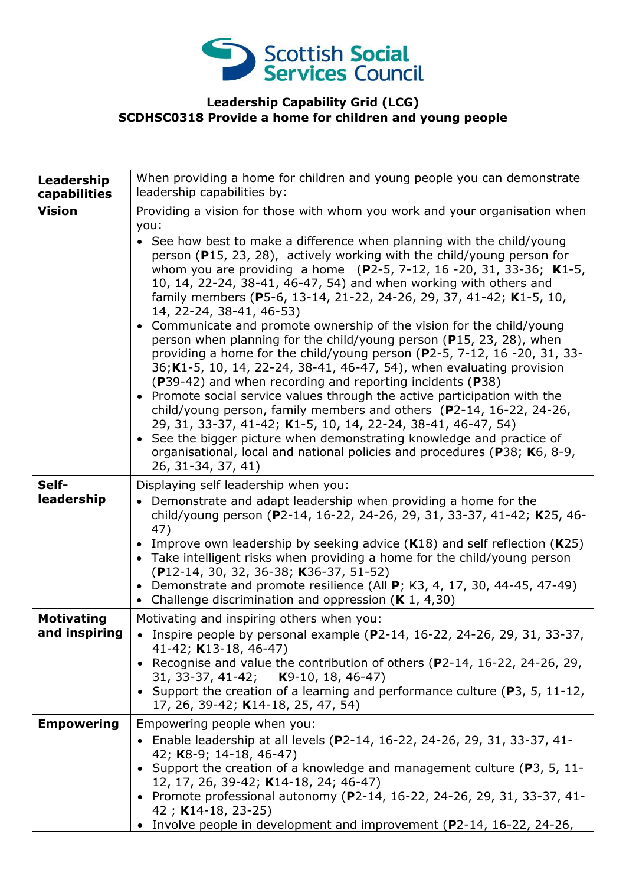

## **Leadership Capability Grid (LCG) SCDHSC0318 Provide a home for children and young people**

| Leadership<br>capabilities         | When providing a home for children and young people you can demonstrate<br>leadership capabilities by:                                                                                                                                                                                                                                                                                                                                                                                                                                                                                                                                                                                                                                                                                                                                                                                                                                                                                                                                                                                                                                                                                                                                                     |
|------------------------------------|------------------------------------------------------------------------------------------------------------------------------------------------------------------------------------------------------------------------------------------------------------------------------------------------------------------------------------------------------------------------------------------------------------------------------------------------------------------------------------------------------------------------------------------------------------------------------------------------------------------------------------------------------------------------------------------------------------------------------------------------------------------------------------------------------------------------------------------------------------------------------------------------------------------------------------------------------------------------------------------------------------------------------------------------------------------------------------------------------------------------------------------------------------------------------------------------------------------------------------------------------------|
| <b>Vision</b>                      | Providing a vision for those with whom you work and your organisation when<br>you:<br>• See how best to make a difference when planning with the child/young<br>person (P15, 23, 28), actively working with the child/young person for<br>whom you are providing a home $(P2-5, 7-12, 16-20, 31, 33-36; K1-5,$<br>10, 14, 22-24, 38-41, 46-47, 54) and when working with others and<br>family members (P5-6, 13-14, 21-22, 24-26, 29, 37, 41-42; K1-5, 10,<br>14, 22-24, 38-41, 46-53)<br>• Communicate and promote ownership of the vision for the child/young<br>person when planning for the child/young person (P15, 23, 28), when<br>providing a home for the child/young person (P2-5, 7-12, 16 -20, 31, 33-<br>36; K1-5, 10, 14, 22-24, 38-41, 46-47, 54), when evaluating provision<br>(P39-42) and when recording and reporting incidents (P38)<br>• Promote social service values through the active participation with the<br>child/young person, family members and others $(P2-14, 16-22, 24-26,$<br>29, 31, 33-37, 41-42; K1-5, 10, 14, 22-24, 38-41, 46-47, 54)<br>• See the bigger picture when demonstrating knowledge and practice of<br>organisational, local and national policies and procedures (P38; K6, 8-9,<br>26, 31-34, 37, 41) |
| Self-<br>leadership                | Displaying self leadership when you:<br>Demonstrate and adapt leadership when providing a home for the<br>child/young person (P2-14, 16-22, 24-26, 29, 31, 33-37, 41-42; K25, 46-<br>47)<br>• Improve own leadership by seeking advice $(K18)$ and self reflection $(K25)$<br>• Take intelligent risks when providing a home for the child/young person<br>(P12-14, 30, 32, 36-38; K36-37, 51-52)<br>• Demonstrate and promote resilience (All $P$ ; K3, 4, 17, 30, 44-45, 47-49)<br>• Challenge discrimination and oppression $(K 1, 4, 30)$                                                                                                                                                                                                                                                                                                                                                                                                                                                                                                                                                                                                                                                                                                              |
| <b>Motivating</b><br>and inspiring | Motivating and inspiring others when you:<br>Inspire people by personal example (P2-14, 16-22, 24-26, 29, 31, 33-37,<br>41-42; K13-18, 46-47)<br>• Recognise and value the contribution of others ( $P2-14$ , 16-22, 24-26, 29,<br>31, 33-37, 41-42; <b>K</b> 9-10, 18, 46-47)<br>• Support the creation of a learning and performance culture ( $P3$ , 5, 11-12,<br>17, 26, 39-42; K14-18, 25, 47, 54)                                                                                                                                                                                                                                                                                                                                                                                                                                                                                                                                                                                                                                                                                                                                                                                                                                                    |
| <b>Empowering</b>                  | Empowering people when you:<br>• Enable leadership at all levels (P2-14, 16-22, 24-26, 29, 31, 33-37, 41-<br>42; K8-9; 14-18, 46-47)<br>• Support the creation of a knowledge and management culture (P3, 5, 11-<br>12, 17, 26, 39-42; K14-18, 24; 46-47)<br>• Promote professional autonomy (P2-14, 16-22, 24-26, 29, 31, 33-37, 41-<br>42; K14-18, 23-25)<br>• Involve people in development and improvement (P2-14, 16-22, 24-26,                                                                                                                                                                                                                                                                                                                                                                                                                                                                                                                                                                                                                                                                                                                                                                                                                       |